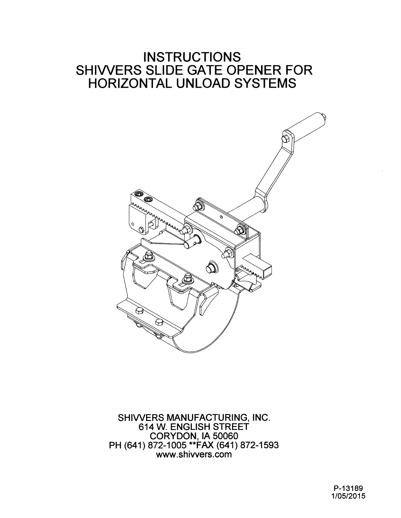## **INSTRUCTIONS** SHIWERS SLIDE GATE OPENER FOR HORIZONTAL UNLOAD SYSTEMS



SHIWERS MANUFACTURING, INC. 614 W. ENGLISH STREET CORYDON, lA 50060 PH (641) 872-1005 \*\*FAX (641) 872-1593 www.shiwers.com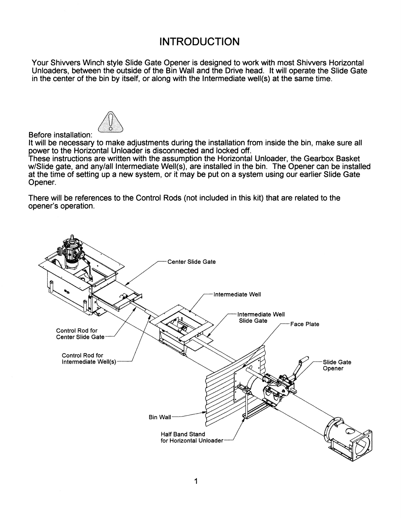## **INTRODUCTION**

Your Shiwers Winch style Slide Gate Opener is designed to work with most Shiwers Horizontal Unloaders, between the outside of the Bin Wall and the Drive head. It will operate the Slide Gate in the center of the bin by itself, or along with the Intermediate well(s) at the same time.



## Before installation:

It will be necessary to make adjustments during the installation from inside the bin, make sure all power to the Horizontal Unloader is disconnected and locked off.

These instructions are written with the assumption the Horizontal Unloader, the Gearbox Basket w/Siide gate, and any/all Intermediate Well(s), are installed in the bin. The Opener can be installed at the time of setting up a new system, or it may be put on a system using our earlier Slide Gate Opener.

There will be references to the Control Rods (not included in this kit) that are related to the opener's operation.

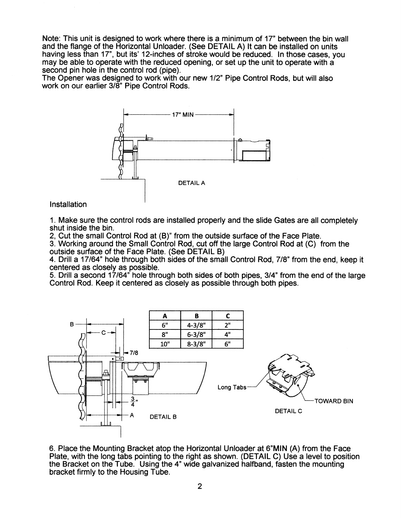Note: This unit is designed to work where there is a minimum of 17" between the bin wall and the flange of the Horizontal Unloader. (See DETAIL A) It can be installed on units having less than 17", but its' 12-inches of stroke would be reduced. In those cases, you may be able to operate with the reduced opening, or set up the unit to operate with a second pin hole in the control rod (pipe).

The Opener was designed to work with our new 1/2" Pipe Control Rods, but will also work on our earlier 3/8" Pipe Control Rods.



Installation

1. Make sure the control rods are installed properly and the slide Gates are all completely shut inside the bin.

2, Cut the small Control Rod at (B)" from the outside surface of the Face Plate.

3. Working around the Small Control Rod, cut off the large Control Rod at (C) from the outside surface of the Face Plate. (See DETAIL B)

4. Drill a 17/64" hole through both sides of the small Control Rod, 7/8" from the end, keep it centered as closely as possible.

5. Drill a second 17/64" hole through both sides of both pipes, 3/4" from the end of the large Control Rod. Keep it centered as closely as possible through both pipes.



6. Place the Mounting Bracket atop the Horizontal Unloader at 6"MIN (A) from the Face Plate, with the long tabs pointing to the right as shown. (DETAIL C) Use a level to position the Bracket on the Tube. Using the 4" wide galvanized halfband, fasten the mounting bracket firmly to the Housing Tube.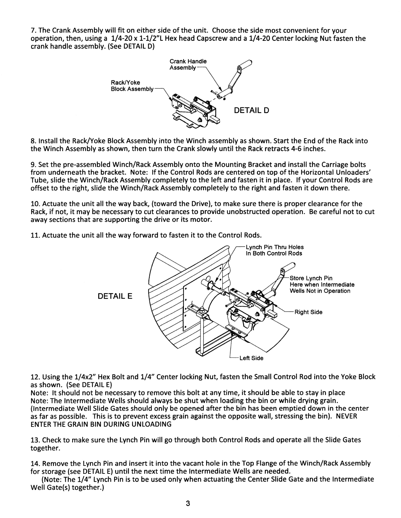7. The Crank Assembly will fit on either side of the unit. Choose the side most convenient for your operation, then, using a 1/4-20 x 1-1/2"l Hex head Capscrew and a 1/4-20 Center locking Nut fasten the crank handle assembly. (See DETAIL D)



8. Install the Rack/Yoke Block Assembly into the Winch assembly as shown. Start the End of the Rack into the Winch Assembly as shown, then turn the Crank slowly until the Rack retracts 4-6 inches.

9. Set the pre-assembled Winch/Rack Assembly onto the Mounting Bracket and install the Carriage bolts from underneath the bracket. Note: If the Control Rods are centered on top of the Horizontal Unloaders' Tube, slide the Winch/Rack Assembly completely to the left and fasten it in place. If your Control Rods are offset to the right, slide the Winch/Rack Assembly completely to the right and fasten it down there.

10. Actuate the unit all the way back, (toward the Drive), to make sure there is proper clearance for the Rack, if not, it may be necessary to cut clearances to provide unobstructed operation. Be careful not to cut away sections that are supporting the drive or its motor.

11. Actuate the unit all the way forward to fasten it to the Control Rods.



12. Using the 1/4x2" Hex Bolt and 1/4" Center locking Nut, fasten the Small Control Rod into the Yoke Block as shown. (See DETAIL E)

Note: It should not be necessary to remove this bolt at any time, it should be able to stay in place Note: The Intermediate Wells should always be shut when loading the bin or while drying grain. (Intermediate Well Slide Gates should only be opened after the bin has been emptied down in the center as far as possible. This is to prevent excess grain against the opposite wall, stressing the bin). NEVER ENTER THE GRAIN BIN DURING UNLOADING

13. Check to make sure the Lynch Pin will go through both Control Rods and operate all the Slide Gates together.

14. Remove the Lynch Pin and insert it into the vacant hole in the Top Flange of the Winch/Rack Assembly for storage (see DETAIL E) until the next time the Intermediate Wells are needed.

(Note: The 1/4" Lynch Pin is to be used only when actuating the Center Slide Gate and the Intermediate Well Gate(s) together.)